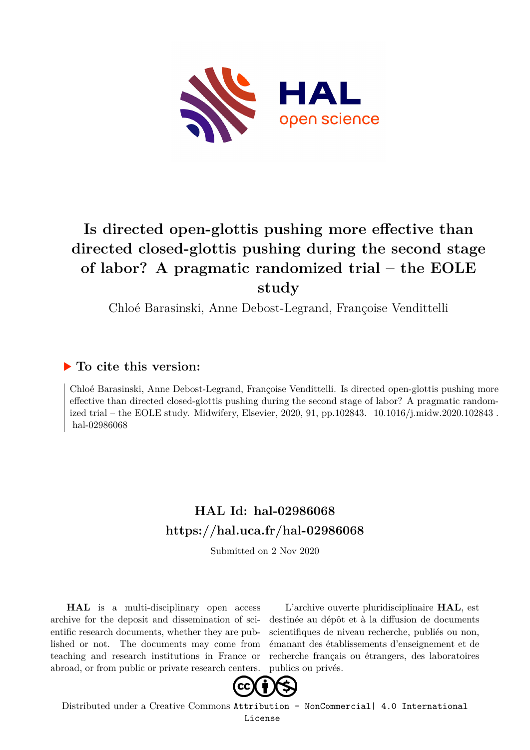

# **Is directed open-glottis pushing more effective than directed closed-glottis pushing during the second stage of labor? A pragmatic randomized trial – the EOLE study**

Chloé Barasinski, Anne Debost-Legrand, Françoise Vendittelli

### **To cite this version:**

Chloé Barasinski, Anne Debost-Legrand, Françoise Vendittelli. Is directed open-glottis pushing more effective than directed closed-glottis pushing during the second stage of labor? A pragmatic randomized trial – the EOLE study. Midwifery, Elsevier, 2020, 91, pp.102843.  $10.1016/j$ .midw.2020.102843. hal-02986068

## **HAL Id: hal-02986068 <https://hal.uca.fr/hal-02986068>**

Submitted on 2 Nov 2020

**HAL** is a multi-disciplinary open access archive for the deposit and dissemination of scientific research documents, whether they are published or not. The documents may come from teaching and research institutions in France or abroad, or from public or private research centers.

L'archive ouverte pluridisciplinaire **HAL**, est destinée au dépôt et à la diffusion de documents scientifiques de niveau recherche, publiés ou non, émanant des établissements d'enseignement et de recherche français ou étrangers, des laboratoires publics ou privés.



Distributed under a Creative Commons [Attribution - NonCommercial| 4.0 International](http://creativecommons.org/licenses/by-nc/4.0/) [License](http://creativecommons.org/licenses/by-nc/4.0/)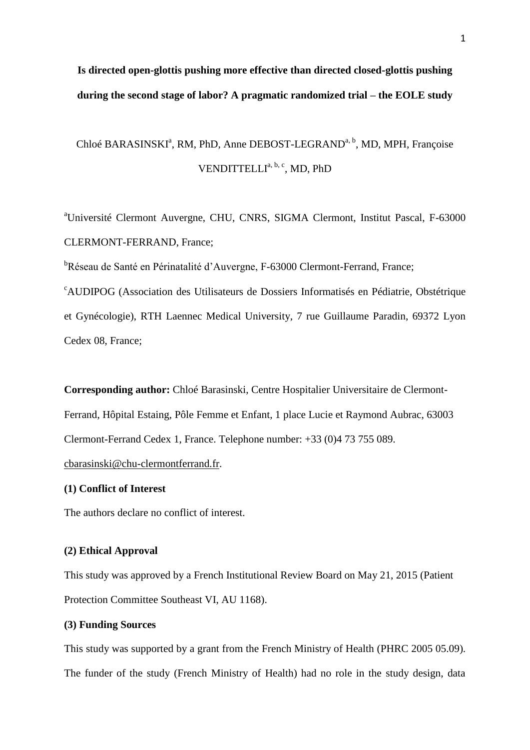## **Is directed open-glottis pushing more effective than directed closed-glottis pushing during the second stage of labor? A pragmatic randomized trial – the EOLE study**

# Chloé BARASINSKI<sup>a</sup>, RM, PhD, Anne DEBOST-LEGRAND<sup>a, b</sup>, MD, MPH, Françoise VENDITTELLI<sup>a, b, c</sup>, MD, PhD

<sup>a</sup>Université Clermont Auvergne, CHU, CNRS, SIGMA Clermont, Institut Pascal, F-63000 CLERMONT-FERRAND, France;

<sup>b</sup>Réseau de Santé en Périnatalité d'Auvergne, F-63000 Clermont-Ferrand, France;

<sup>c</sup>AUDIPOG (Association des Utilisateurs de Dossiers Informatisés en Pédiatrie, Obstétrique et Gynécologie), RTH Laennec Medical University, 7 rue Guillaume Paradin, 69372 Lyon Cedex 08, France;

**Corresponding author:** Chloé Barasinski, Centre Hospitalier Universitaire de Clermont-Ferrand, Hôpital Estaing, Pôle Femme et Enfant, 1 place Lucie et Raymond Aubrac, 63003 Clermont-Ferrand Cedex 1, France. Telephone number: +33 (0)4 73 755 089.

[cbarasinski@chu-clermontferrand.fr.](mailto:cbarasinski@chu-clermontferrand.fr)

#### **(1) Conflict of Interest**

The authors declare no conflict of interest.

#### **(2) Ethical Approval**

This study was approved by a French Institutional Review Board on May 21, 2015 (Patient Protection Committee Southeast VI, AU 1168).

#### **(3) Funding Sources**

This study was supported by a grant from the French Ministry of Health (PHRC 2005 05.09). The funder of the study (French Ministry of Health) had no role in the study design, data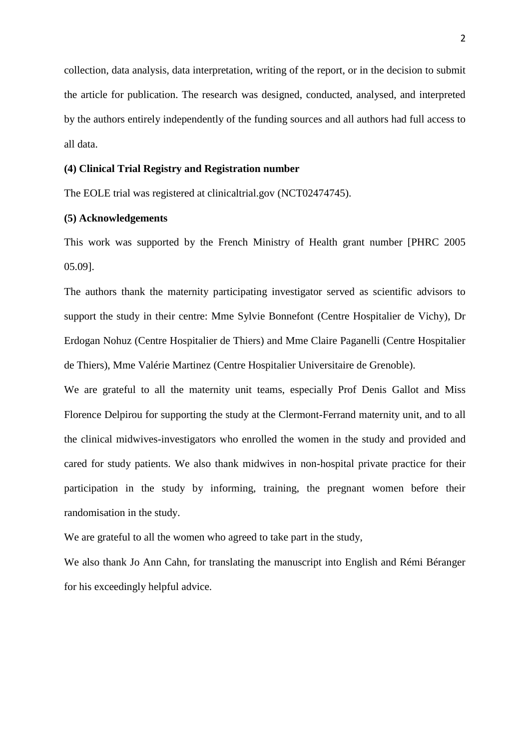collection, data analysis, data interpretation, writing of the report, or in the decision to submit the article for publication. The research was designed, conducted, analysed, and interpreted by the authors entirely independently of the funding sources and all authors had full access to all data.

#### **(4) Clinical Trial Registry and Registration number**

The EOLE trial was registered at clinicaltrial.gov (NCT02474745).

#### **(5) Acknowledgements**

This work was supported by the French Ministry of Health grant number [PHRC 2005 05.09].

The authors thank the maternity participating investigator served as scientific advisors to support the study in their centre: Mme Sylvie Bonnefont (Centre Hospitalier de Vichy), Dr Erdogan Nohuz (Centre Hospitalier de Thiers) and Mme Claire Paganelli (Centre Hospitalier de Thiers), Mme Valérie Martinez (Centre Hospitalier Universitaire de Grenoble).

We are grateful to all the maternity unit teams, especially Prof Denis Gallot and Miss Florence Delpirou for supporting the study at the Clermont-Ferrand maternity unit, and to all the clinical midwives-investigators who enrolled the women in the study and provided and cared for study patients. We also thank midwives in non-hospital private practice for their participation in the study by informing, training, the pregnant women before their randomisation in the study.

We are grateful to all the women who agreed to take part in the study,

We also thank Jo Ann Cahn, for translating the manuscript into English and Rémi Béranger for his exceedingly helpful advice.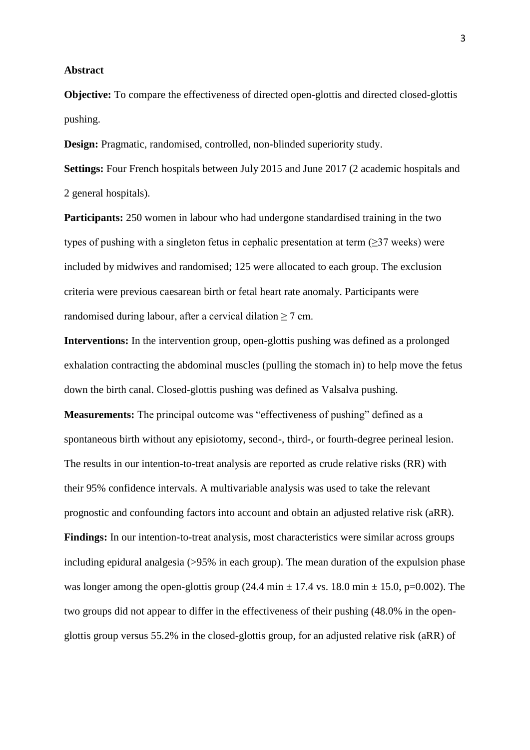#### **Abstract**

**Objective:** To compare the effectiveness of directed open-glottis and directed closed-glottis pushing.

**Design:** Pragmatic, randomised, controlled, non-blinded superiority study.

**Settings:** Four French hospitals between July 2015 and June 2017 (2 academic hospitals and 2 general hospitals).

**Participants:** 250 women in labour who had undergone standardised training in the two types of pushing with a singleton fetus in cephalic presentation at term  $(\geq)37$  weeks) were included by midwives and randomised; 125 were allocated to each group. The exclusion criteria were previous caesarean birth or fetal heart rate anomaly. Participants were randomised during labour, after a cervical dilation  $\geq$  7 cm.

**Interventions:** In the intervention group, open-glottis pushing was defined as a prolonged exhalation contracting the abdominal muscles (pulling the stomach in) to help move the fetus down the birth canal. Closed-glottis pushing was defined as Valsalva pushing.

**Measurements:** The principal outcome was "effectiveness of pushing" defined as a spontaneous birth without any episiotomy, second-, third-, or fourth-degree perineal lesion. The results in our intention-to-treat analysis are reported as crude relative risks (RR) with their 95% confidence intervals. A multivariable analysis was used to take the relevant prognostic and confounding factors into account and obtain an adjusted relative risk (aRR). **Findings:** In our intention-to-treat analysis, most characteristics were similar across groups including epidural analgesia (>95% in each group). The mean duration of the expulsion phase was longer among the open-glottis group (24.4 min  $\pm$  17.4 vs. 18.0 min  $\pm$  15.0, p=0.002). The two groups did not appear to differ in the effectiveness of their pushing (48.0% in the openglottis group versus 55.2% in the closed-glottis group, for an adjusted relative risk (aRR) of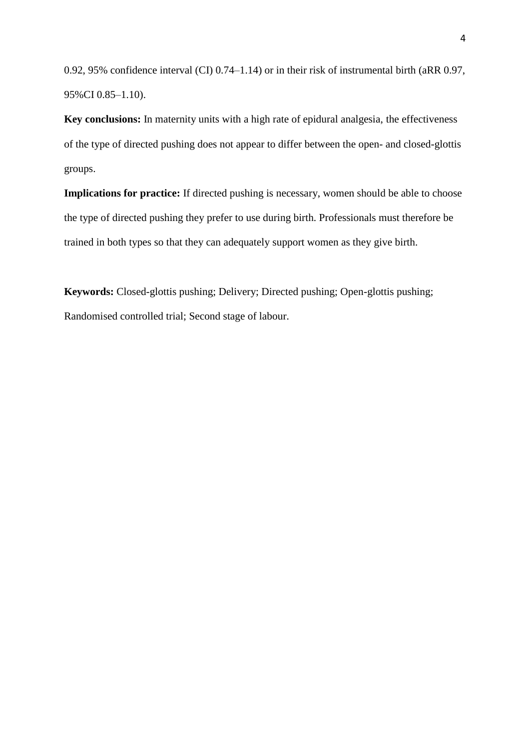0.92, 95% confidence interval (CI) 0.74–1.14) or in their risk of instrumental birth (aRR 0.97, 95%CI 0.85–1.10).

**Key conclusions:** In maternity units with a high rate of epidural analgesia, the effectiveness of the type of directed pushing does not appear to differ between the open- and closed-glottis groups.

**Implications for practice:** If directed pushing is necessary, women should be able to choose the type of directed pushing they prefer to use during birth. Professionals must therefore be trained in both types so that they can adequately support women as they give birth.

**Keywords:** Closed-glottis pushing; Delivery; Directed pushing; Open-glottis pushing; Randomised controlled trial; Second stage of labour.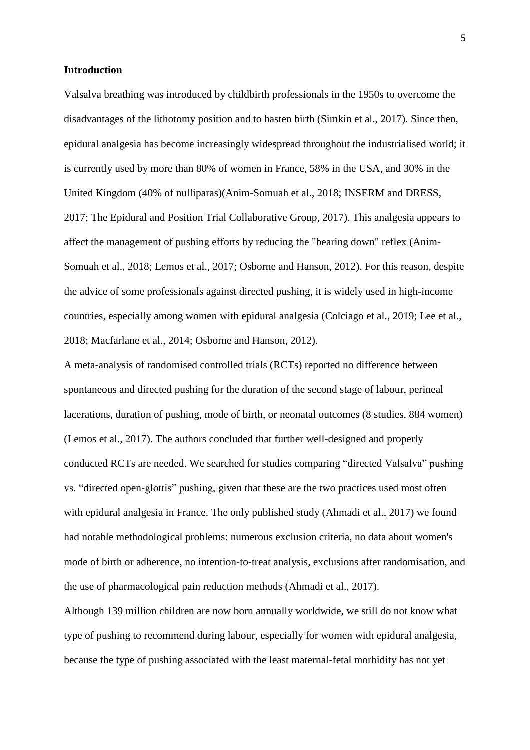#### **Introduction**

Valsalva breathing was introduced by childbirth professionals in the 1950s to overcome the disadvantages of the lithotomy position and to hasten birth (Simkin et al., 2017). Since then, epidural analgesia has become increasingly widespread throughout the industrialised world; it is currently used by more than 80% of women in France, 58% in the USA, and 30% in the United Kingdom (40% of nulliparas)(Anim-Somuah et al., 2018; INSERM and DRESS, 2017; The Epidural and Position Trial Collaborative Group, 2017). This analgesia appears to affect the management of pushing efforts by reducing the "bearing down" reflex (Anim-Somuah et al., 2018; Lemos et al., 2017; Osborne and Hanson, 2012). For this reason, despite the advice of some professionals against directed pushing, it is widely used in high-income countries, especially among women with epidural analgesia (Colciago et al., 2019; Lee et al., 2018; Macfarlane et al., 2014; Osborne and Hanson, 2012).

A meta-analysis of randomised controlled trials (RCTs) reported no difference between spontaneous and directed pushing for the duration of the second stage of labour, perineal lacerations, duration of pushing, mode of birth, or neonatal outcomes (8 studies, 884 women) (Lemos et al., 2017). The authors concluded that further well-designed and properly conducted RCTs are needed. We searched for studies comparing "directed Valsalva" pushing vs. "directed open-glottis" pushing, given that these are the two practices used most often with epidural analgesia in France. The only published study (Ahmadi et al., 2017) we found had notable methodological problems: numerous exclusion criteria, no data about women's mode of birth or adherence, no intention-to-treat analysis, exclusions after randomisation, and the use of pharmacological pain reduction methods (Ahmadi et al., 2017).

Although 139 million children are now born annually worldwide, we still do not know what type of pushing to recommend during labour, especially for women with epidural analgesia, because the type of pushing associated with the least maternal-fetal morbidity has not yet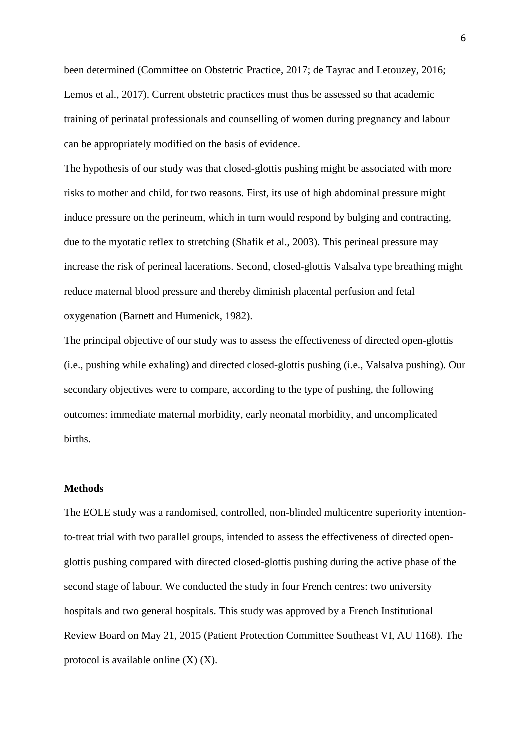been determined (Committee on Obstetric Practice, 2017; de Tayrac and Letouzey, 2016; Lemos et al., 2017). Current obstetric practices must thus be assessed so that academic training of perinatal professionals and counselling of women during pregnancy and labour can be appropriately modified on the basis of evidence.

The hypothesis of our study was that closed-glottis pushing might be associated with more risks to mother and child, for two reasons. First, its use of high abdominal pressure might induce pressure on the perineum, which in turn would respond by bulging and contracting, due to the myotatic reflex to stretching (Shafik et al., 2003). This perineal pressure may increase the risk of perineal lacerations. Second, closed-glottis Valsalva type breathing might reduce maternal blood pressure and thereby diminish placental perfusion and fetal oxygenation (Barnett and Humenick, 1982).

The principal objective of our study was to assess the effectiveness of directed open-glottis (i.e., pushing while exhaling) and directed closed-glottis pushing (i.e., Valsalva pushing). Our secondary objectives were to compare, according to the type of pushing, the following outcomes: immediate maternal morbidity, early neonatal morbidity, and uncomplicated births.

#### **Methods**

The EOLE study was a randomised, controlled, non-blinded multicentre superiority intentionto-treat trial with two parallel groups, intended to assess the effectiveness of directed openglottis pushing compared with directed closed-glottis pushing during the active phase of the second stage of labour. We conducted the study in four French centres: two university hospitals and two general hospitals. This study was approved by a French Institutional Review Board on May 21, 2015 (Patient Protection Committee Southeast VI, AU 1168). The protocol is available online  $(X)$   $(X)$ .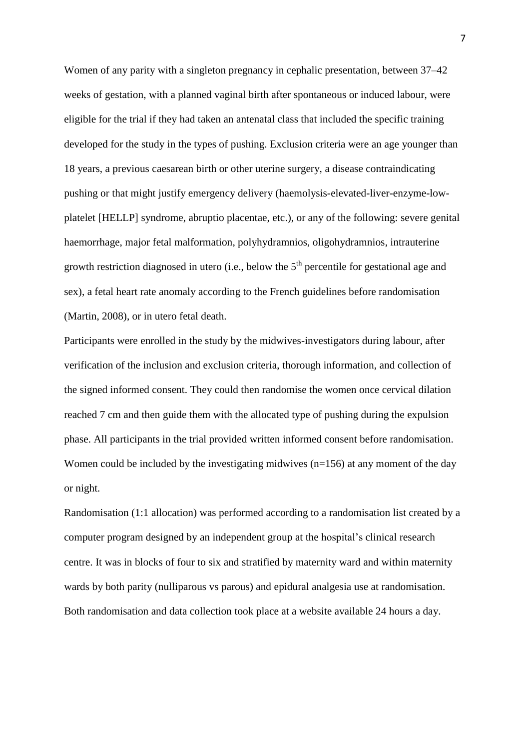Women of any parity with a singleton pregnancy in cephalic presentation, between 37–42 weeks of gestation, with a planned vaginal birth after spontaneous or induced labour, were eligible for the trial if they had taken an antenatal class that included the specific training developed for the study in the types of pushing. Exclusion criteria were an age younger than 18 years, a previous caesarean birth or other uterine surgery, a disease contraindicating pushing or that might justify emergency delivery (haemolysis-elevated-liver-enzyme-lowplatelet [HELLP] syndrome, abruptio placentae, etc.), or any of the following: severe genital haemorrhage, major fetal malformation, polyhydramnios, oligohydramnios, intrauterine growth restriction diagnosed in utero (i.e., below the  $5<sup>th</sup>$  percentile for gestational age and sex), a fetal heart rate anomaly according to the French guidelines before randomisation (Martin, 2008), or in utero fetal death.

Participants were enrolled in the study by the midwives-investigators during labour, after verification of the inclusion and exclusion criteria, thorough information, and collection of the signed informed consent. They could then randomise the women once cervical dilation reached 7 cm and then guide them with the allocated type of pushing during the expulsion phase. All participants in the trial provided written informed consent before randomisation. Women could be included by the investigating midwives (n=156) at any moment of the day or night.

Randomisation (1:1 allocation) was performed according to a randomisation list created by a computer program designed by an independent group at the hospital's clinical research centre. It was in blocks of four to six and stratified by maternity ward and within maternity wards by both parity (nulliparous vs parous) and epidural analgesia use at randomisation. Both randomisation and data collection took place at a website available 24 hours a day.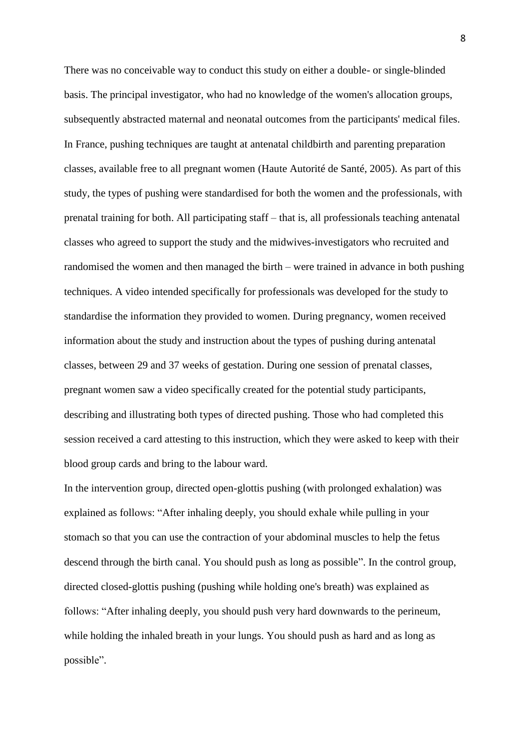There was no conceivable way to conduct this study on either a double- or single-blinded basis. The principal investigator, who had no knowledge of the women's allocation groups, subsequently abstracted maternal and neonatal outcomes from the participants' medical files. In France, pushing techniques are taught at antenatal childbirth and parenting preparation classes, available free to all pregnant women (Haute Autorité de Santé, 2005). As part of this study, the types of pushing were standardised for both the women and the professionals, with prenatal training for both. All participating staff – that is, all professionals teaching antenatal classes who agreed to support the study and the midwives-investigators who recruited and randomised the women and then managed the birth – were trained in advance in both pushing techniques. A video intended specifically for professionals was developed for the study to standardise the information they provided to women. During pregnancy, women received information about the study and instruction about the types of pushing during antenatal classes, between 29 and 37 weeks of gestation. During one session of prenatal classes, pregnant women saw a video specifically created for the potential study participants, describing and illustrating both types of directed pushing. Those who had completed this session received a card attesting to this instruction, which they were asked to keep with their blood group cards and bring to the labour ward.

In the intervention group, directed open-glottis pushing (with prolonged exhalation) was explained as follows: "After inhaling deeply, you should exhale while pulling in your stomach so that you can use the contraction of your abdominal muscles to help the fetus descend through the birth canal. You should push as long as possible". In the control group, directed closed-glottis pushing (pushing while holding one's breath) was explained as follows: "After inhaling deeply, you should push very hard downwards to the perineum, while holding the inhaled breath in your lungs. You should push as hard and as long as possible".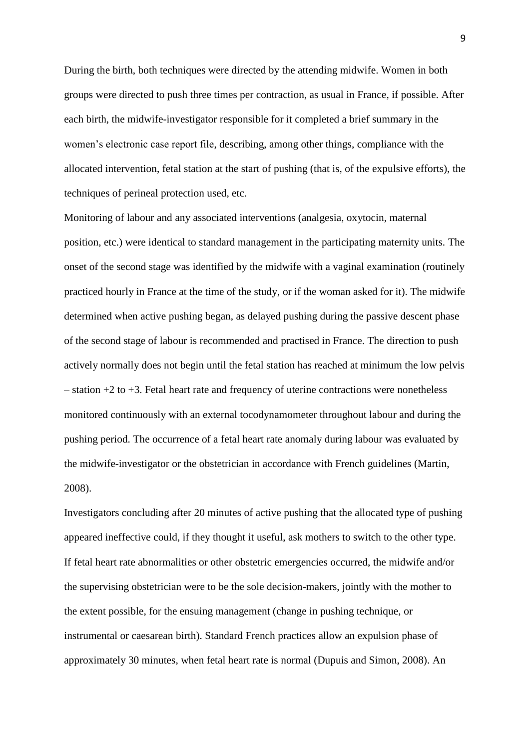During the birth, both techniques were directed by the attending midwife. Women in both groups were directed to push three times per contraction, as usual in France, if possible. After each birth, the midwife-investigator responsible for it completed a brief summary in the women's electronic case report file, describing, among other things, compliance with the allocated intervention, fetal station at the start of pushing (that is, of the expulsive efforts), the techniques of perineal protection used, etc.

Monitoring of labour and any associated interventions (analgesia, oxytocin, maternal position, etc.) were identical to standard management in the participating maternity units. The onset of the second stage was identified by the midwife with a vaginal examination (routinely practiced hourly in France at the time of the study, or if the woman asked for it). The midwife determined when active pushing began, as delayed pushing during the passive descent phase of the second stage of labour is recommended and practised in France. The direction to push actively normally does not begin until the fetal station has reached at minimum the low pelvis  $-$  station  $+2$  to  $+3$ . Fetal heart rate and frequency of uterine contractions were nonetheless monitored continuously with an external tocodynamometer throughout labour and during the pushing period. The occurrence of a fetal heart rate anomaly during labour was evaluated by the midwife-investigator or the obstetrician in accordance with French guidelines (Martin, 2008).

Investigators concluding after 20 minutes of active pushing that the allocated type of pushing appeared ineffective could, if they thought it useful, ask mothers to switch to the other type. If fetal heart rate abnormalities or other obstetric emergencies occurred, the midwife and/or the supervising obstetrician were to be the sole decision-makers, jointly with the mother to the extent possible, for the ensuing management (change in pushing technique, or instrumental or caesarean birth). Standard French practices allow an expulsion phase of approximately 30 minutes, when fetal heart rate is normal (Dupuis and Simon, 2008). An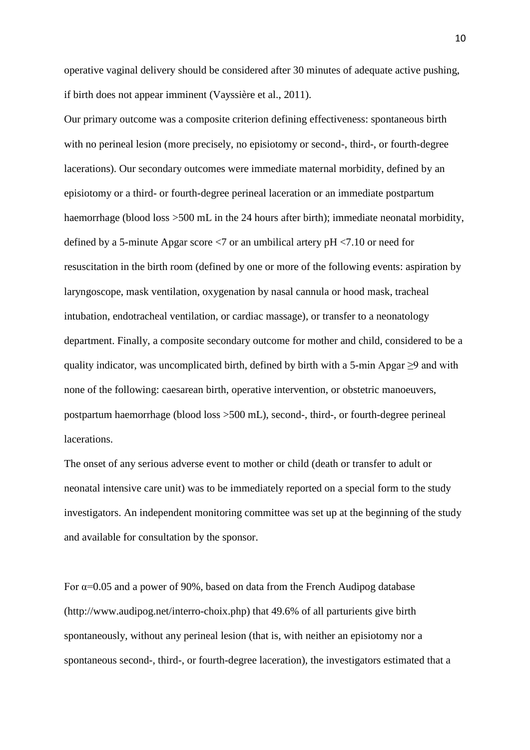operative vaginal delivery should be considered after 30 minutes of adequate active pushing, if birth does not appear imminent (Vayssière et al., 2011).

Our primary outcome was a composite criterion defining effectiveness: spontaneous birth with no perineal lesion (more precisely, no episiotomy or second-, third-, or fourth-degree lacerations). Our secondary outcomes were immediate maternal morbidity, defined by an episiotomy or a third- or fourth-degree perineal laceration or an immediate postpartum haemorrhage (blood loss >500 mL in the 24 hours after birth); immediate neonatal morbidity, defined by a 5-minute Apgar score <7 or an umbilical artery pH <7.10 or need for resuscitation in the birth room (defined by one or more of the following events: aspiration by laryngoscope, mask ventilation, oxygenation by nasal cannula or hood mask, tracheal intubation, endotracheal ventilation, or cardiac massage), or transfer to a neonatology department. Finally, a composite secondary outcome for mother and child, considered to be a quality indicator, was uncomplicated birth, defined by birth with a 5-min Apgar  $\geq$ 9 and with none of the following: caesarean birth, operative intervention, or obstetric manoeuvers, postpartum haemorrhage (blood loss >500 mL), second-, third-, or fourth-degree perineal lacerations.

The onset of any serious adverse event to mother or child (death or transfer to adult or neonatal intensive care unit) was to be immediately reported on a special form to the study investigators. An independent monitoring committee was set up at the beginning of the study and available for consultation by the sponsor.

For  $\alpha$ =0.05 and a power of 90%, based on data from the French Audipog database (http://www.audipog.net/interro-choix.php) that 49.6% of all parturients give birth spontaneously, without any perineal lesion (that is, with neither an episiotomy nor a spontaneous second-, third-, or fourth-degree laceration), the investigators estimated that a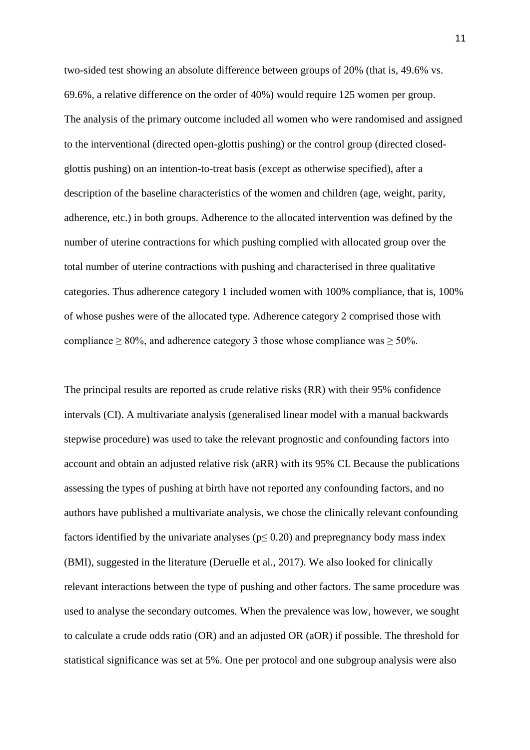two-sided test showing an absolute difference between groups of 20% (that is, 49.6% vs. 69.6%, a relative difference on the order of 40%) would require 125 women per group. The analysis of the primary outcome included all women who were randomised and assigned to the interventional (directed open-glottis pushing) or the control group (directed closedglottis pushing) on an intention-to-treat basis (except as otherwise specified), after a description of the baseline characteristics of the women and children (age, weight, parity, adherence, etc.) in both groups. Adherence to the allocated intervention was defined by the number of uterine contractions for which pushing complied with allocated group over the total number of uterine contractions with pushing and characterised in three qualitative categories. Thus adherence category 1 included women with 100% compliance, that is, 100% of whose pushes were of the allocated type. Adherence category 2 comprised those with compliance  $\geq 80\%$ , and adherence category 3 those whose compliance was  $\geq 50\%$ .

The principal results are reported as crude relative risks (RR) with their 95% confidence intervals (CI). A multivariate analysis (generalised linear model with a manual backwards stepwise procedure) was used to take the relevant prognostic and confounding factors into account and obtain an adjusted relative risk (aRR) with its 95% CI. Because the publications assessing the types of pushing at birth have not reported any confounding factors, and no authors have published a multivariate analysis, we chose the clinically relevant confounding factors identified by the univariate analyses ( $p \le 0.20$ ) and prepregnancy body mass index (BMI), suggested in the literature (Deruelle et al., 2017). We also looked for clinically relevant interactions between the type of pushing and other factors. The same procedure was used to analyse the secondary outcomes. When the prevalence was low, however, we sought to calculate a crude odds ratio (OR) and an adjusted OR (aOR) if possible. The threshold for statistical significance was set at 5%. One per protocol and one subgroup analysis were also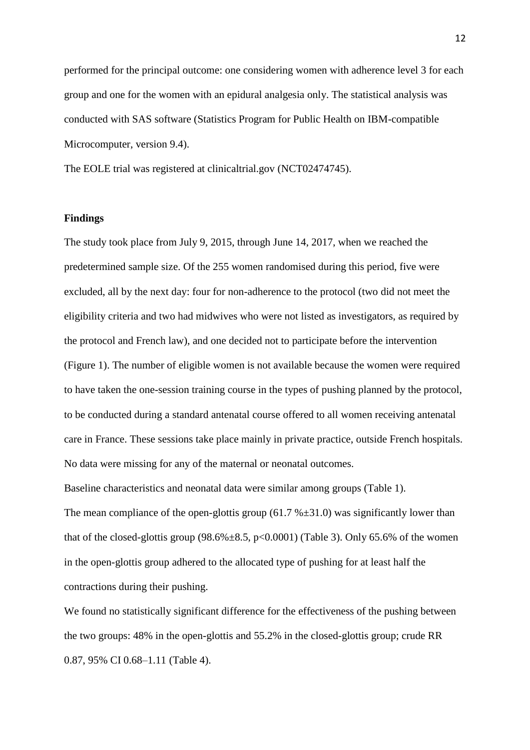performed for the principal outcome: one considering women with adherence level 3 for each group and one for the women with an epidural analgesia only. The statistical analysis was conducted with SAS software (Statistics Program for Public Health on IBM-compatible Microcomputer, version 9.4).

The EOLE trial was registered at clinicaltrial.gov (NCT02474745).

#### **Findings**

The study took place from July 9, 2015, through June 14, 2017, when we reached the predetermined sample size. Of the 255 women randomised during this period, five were excluded, all by the next day: four for non-adherence to the protocol (two did not meet the eligibility criteria and two had midwives who were not listed as investigators, as required by the protocol and French law), and one decided not to participate before the intervention (Figure 1). The number of eligible women is not available because the women were required to have taken the one-session training course in the types of pushing planned by the protocol, to be conducted during a standard antenatal course offered to all women receiving antenatal care in France. These sessions take place mainly in private practice, outside French hospitals. No data were missing for any of the maternal or neonatal outcomes.

Baseline characteristics and neonatal data were similar among groups (Table 1). The mean compliance of the open-glottis group  $(61.7 %±31.0)$  was significantly lower than that of the closed-glottis group  $(98.6\% \pm 8.5, p<0.0001)$  (Table 3). Only 65.6% of the women in the open-glottis group adhered to the allocated type of pushing for at least half the contractions during their pushing.

We found no statistically significant difference for the effectiveness of the pushing between the two groups: 48% in the open-glottis and 55.2% in the closed-glottis group; crude RR 0.87, 95% CI 0.68–1.11 (Table 4).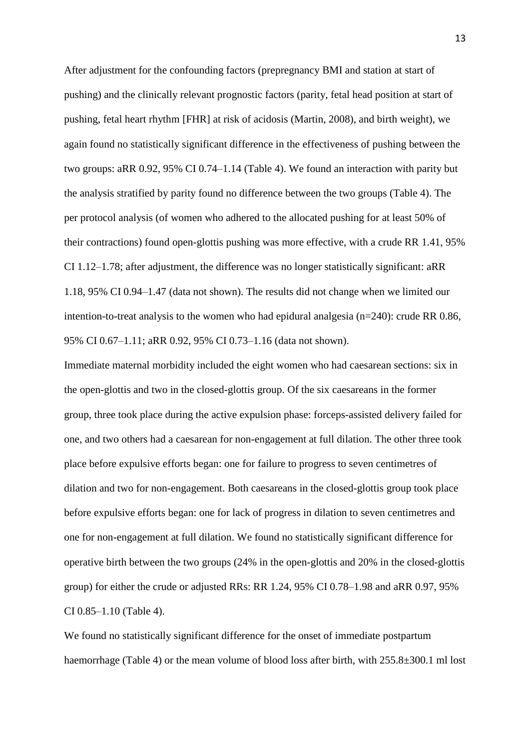After adjustment for the confounding factors (prepregnancy BMI and station at start of pushing) and the clinically relevant prognostic factors (parity, fetal head position at start of pushing, fetal heart rhythm [FHR] at risk of acidosis (Martin, 2008), and birth weight), we again found no statistically significant difference in the effectiveness of pushing between the two groups: aRR 0.92, 95% CI 0.74–1.14 (Table 4). We found an interaction with parity but the analysis stratified by parity found no difference between the two groups (Table 4). The per protocol analysis (of women who adhered to the allocated pushing for at least 50% of their contractions) found open-glottis pushing was more effective, with a crude RR 1.41, 95% CI 1.12–1.78; after adjustment, the difference was no longer statistically significant: aRR 1.18, 95% CI 0.94–1.47 (data not shown). The results did not change when we limited our intention-to-treat analysis to the women who had epidural analgesia (n=240): crude RR 0.86, 95% CI 0.67–1.11; aRR 0.92, 95% CI 0.73–1.16 (data not shown).

Immediate maternal morbidity included the eight women who had caesarean sections: six in the open-glottis and two in the closed-glottis group. Of the six caesareans in the former group, three took place during the active expulsion phase: forceps-assisted delivery failed for one, and two others had a caesarean for non-engagement at full dilation. The other three took place before expulsive efforts began: one for failure to progress to seven centimetres of dilation and two for non-engagement. Both caesareans in the closed-glottis group took place before expulsive efforts began: one for lack of progress in dilation to seven centimetres and one for non-engagement at full dilation. We found no statistically significant difference for operative birth between the two groups (24% in the open-glottis and 20% in the closed-glottis group) for either the crude or adjusted RRs: RR 1.24, 95% CI 0.78–1.98 and aRR 0.97, 95% CI 0.85–1.10 (Table 4).

We found no statistically significant difference for the onset of immediate postpartum haemorrhage (Table 4) or the mean volume of blood loss after birth, with  $255.8\pm300.1$  ml lost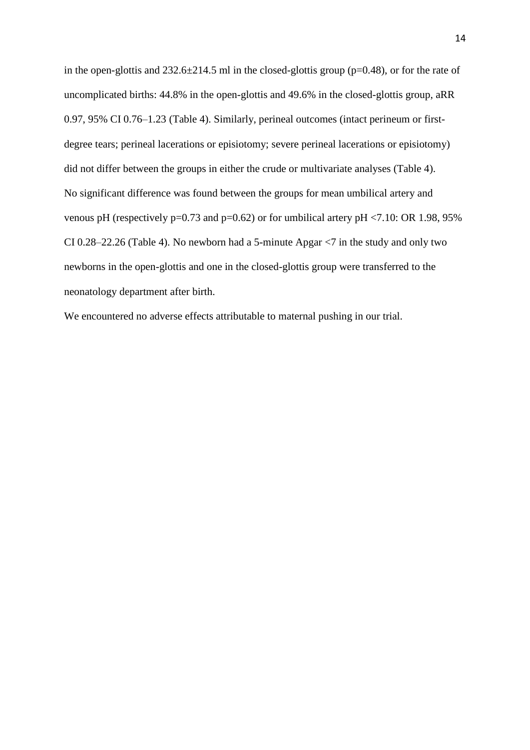in the open-glottis and 232.6±214.5 ml in the closed-glottis group (p=0.48), or for the rate of uncomplicated births: 44.8% in the open-glottis and 49.6% in the closed-glottis group, aRR 0.97, 95% CI 0.76–1.23 (Table 4). Similarly, perineal outcomes (intact perineum or firstdegree tears; perineal lacerations or episiotomy; severe perineal lacerations or episiotomy) did not differ between the groups in either the crude or multivariate analyses (Table 4). No significant difference was found between the groups for mean umbilical artery and venous pH (respectively  $p=0.73$  and  $p=0.62$ ) or for umbilical artery  $pH < 7.10$ : OR 1.98, 95% CI 0.28–22.26 (Table 4). No newborn had a 5-minute Apgar <7 in the study and only two newborns in the open-glottis and one in the closed-glottis group were transferred to the neonatology department after birth.

We encountered no adverse effects attributable to maternal pushing in our trial.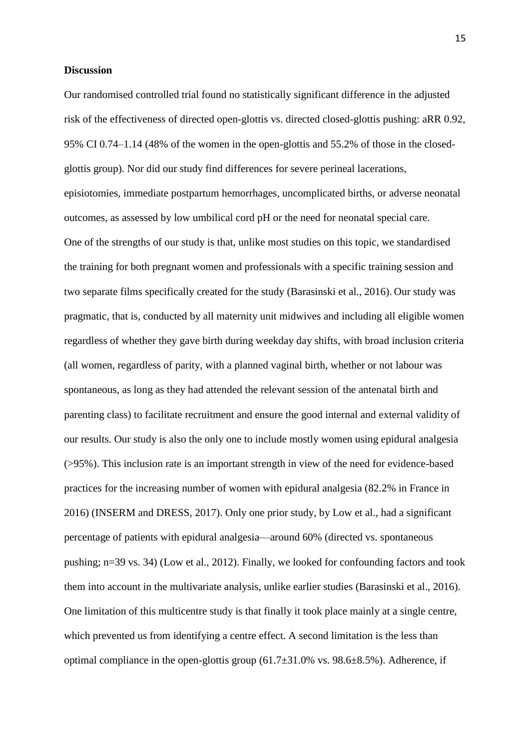#### **Discussion**

Our randomised controlled trial found no statistically significant difference in the adjusted risk of the effectiveness of directed open-glottis vs. directed closed-glottis pushing: aRR 0.92, 95% CI 0.74–1.14 (48% of the women in the open-glottis and 55.2% of those in the closedglottis group). Nor did our study find differences for severe perineal lacerations, episiotomies, immediate postpartum hemorrhages, uncomplicated births, or adverse neonatal outcomes, as assessed by low umbilical cord pH or the need for neonatal special care. One of the strengths of our study is that, unlike most studies on this topic, we standardised the training for both pregnant women and professionals with a specific training session and two separate films specifically created for the study (Barasinski et al., 2016). Our study was pragmatic, that is, conducted by all maternity unit midwives and including all eligible women regardless of whether they gave birth during weekday day shifts, with broad inclusion criteria (all women, regardless of parity, with a planned vaginal birth, whether or not labour was spontaneous, as long as they had attended the relevant session of the antenatal birth and parenting class) to facilitate recruitment and ensure the good internal and external validity of our results. Our study is also the only one to include mostly women using epidural analgesia (>95%). This inclusion rate is an important strength in view of the need for evidence-based practices for the increasing number of women with epidural analgesia (82.2% in France in 2016) (INSERM and DRESS, 2017). Only one prior study, by Low et al., had a significant percentage of patients with epidural analgesia—around 60% (directed vs. spontaneous pushing; n=39 vs. 34) (Low et al., 2012). Finally, we looked for confounding factors and took them into account in the multivariate analysis, unlike earlier studies (Barasinski et al., 2016). One limitation of this multicentre study is that finally it took place mainly at a single centre, which prevented us from identifying a centre effect. A second limitation is the less than optimal compliance in the open-glottis group  $(61.7\pm31.0\%$  vs.  $98.6\pm8.5\%$ ). Adherence, if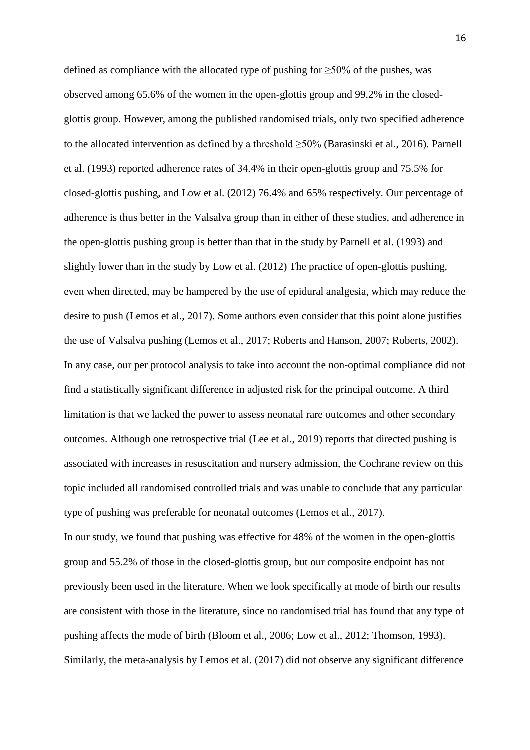defined as compliance with the allocated type of pushing for  $\geq$ 50% of the pushes, was observed among 65.6% of the women in the open-glottis group and 99.2% in the closedglottis group. However, among the published randomised trials, only two specified adherence to the allocated intervention as defined by a threshold ≥50% (Barasinski et al., 2016). Parnell et al. (1993) reported adherence rates of 34.4% in their open-glottis group and 75.5% for closed-glottis pushing, and Low et al. (2012) 76.4% and 65% respectively. Our percentage of adherence is thus better in the Valsalva group than in either of these studies, and adherence in the open-glottis pushing group is better than that in the study by Parnell et al. (1993) and slightly lower than in the study by Low et al. (2012) The practice of open-glottis pushing, even when directed, may be hampered by the use of epidural analgesia, which may reduce the desire to push (Lemos et al., 2017). Some authors even consider that this point alone justifies the use of Valsalva pushing (Lemos et al., 2017; Roberts and Hanson, 2007; Roberts, 2002). In any case, our per protocol analysis to take into account the non-optimal compliance did not find a statistically significant difference in adjusted risk for the principal outcome. A third limitation is that we lacked the power to assess neonatal rare outcomes and other secondary outcomes. Although one retrospective trial (Lee et al., 2019) reports that directed pushing is associated with increases in resuscitation and nursery admission, the Cochrane review on this topic included all randomised controlled trials and was unable to conclude that any particular type of pushing was preferable for neonatal outcomes (Lemos et al., 2017). In our study, we found that pushing was effective for 48% of the women in the open-glottis group and 55.2% of those in the closed-glottis group, but our composite endpoint has not previously been used in the literature. When we look specifically at mode of birth our results are consistent with those in the literature, since no randomised trial has found that any type of pushing affects the mode of birth (Bloom et al., 2006; Low et al., 2012; Thomson, 1993). Similarly, the meta-analysis by Lemos et al. (2017) did not observe any significant difference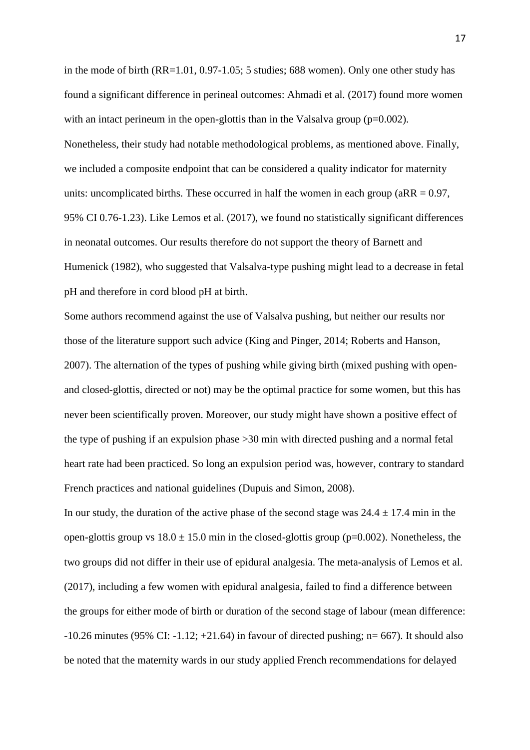in the mode of birth (RR=1.01, 0.97-1.05; 5 studies; 688 women). Only one other study has found a significant difference in perineal outcomes: Ahmadi et al. (2017) found more women with an intact perineum in the open-glottis than in the Valsalva group  $(p=0.002)$ . Nonetheless, their study had notable methodological problems, as mentioned above. Finally, we included a composite endpoint that can be considered a quality indicator for maternity units: uncomplicated births. These occurred in half the women in each group ( $aRR = 0.97$ , 95% CI 0.76-1.23). Like Lemos et al. (2017), we found no statistically significant differences in neonatal outcomes. Our results therefore do not support the theory of Barnett and Humenick (1982), who suggested that Valsalva-type pushing might lead to a decrease in fetal pH and therefore in cord blood pH at birth.

Some authors recommend against the use of Valsalva pushing, but neither our results nor those of the literature support such advice (King and Pinger, 2014; Roberts and Hanson, 2007). The alternation of the types of pushing while giving birth (mixed pushing with openand closed-glottis, directed or not) may be the optimal practice for some women, but this has never been scientifically proven. Moreover, our study might have shown a positive effect of the type of pushing if an expulsion phase >30 min with directed pushing and a normal fetal heart rate had been practiced. So long an expulsion period was, however, contrary to standard French practices and national guidelines (Dupuis and Simon, 2008).

In our study, the duration of the active phase of the second stage was  $24.4 \pm 17.4$  min in the open-glottis group vs  $18.0 \pm 15.0$  min in the closed-glottis group (p=0.002). Nonetheless, the two groups did not differ in their use of epidural analgesia. The meta-analysis of Lemos et al. (2017), including a few women with epidural analgesia, failed to find a difference between the groups for either mode of birth or duration of the second stage of labour (mean difference:  $-10.26$  minutes (95% CI:  $-1.12$ ;  $+21.64$ ) in favour of directed pushing; n= 667). It should also be noted that the maternity wards in our study applied French recommendations for delayed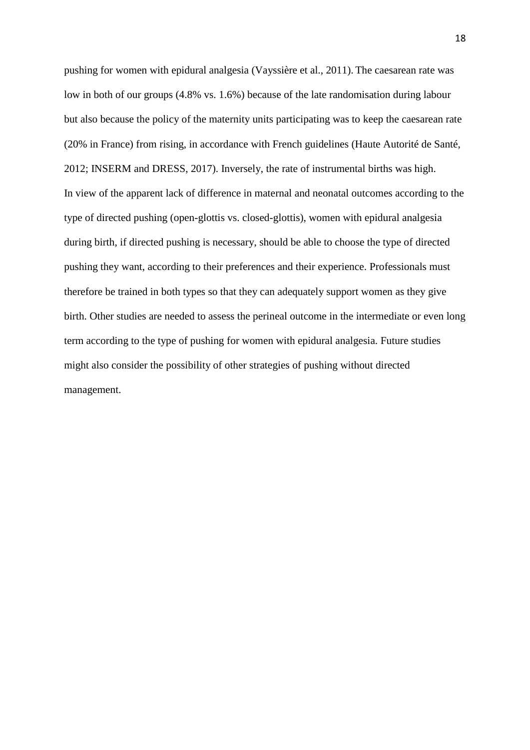pushing for women with epidural analgesia (Vayssière et al., 2011). The caesarean rate was low in both of our groups (4.8% vs. 1.6%) because of the late randomisation during labour but also because the policy of the maternity units participating was to keep the caesarean rate (20% in France) from rising, in accordance with French guidelines (Haute Autorité de Santé, 2012; INSERM and DRESS, 2017). Inversely, the rate of instrumental births was high. In view of the apparent lack of difference in maternal and neonatal outcomes according to the type of directed pushing (open-glottis vs. closed-glottis), women with epidural analgesia during birth, if directed pushing is necessary, should be able to choose the type of directed pushing they want, according to their preferences and their experience. Professionals must therefore be trained in both types so that they can adequately support women as they give birth. Other studies are needed to assess the perineal outcome in the intermediate or even long term according to the type of pushing for women with epidural analgesia. Future studies might also consider the possibility of other strategies of pushing without directed management.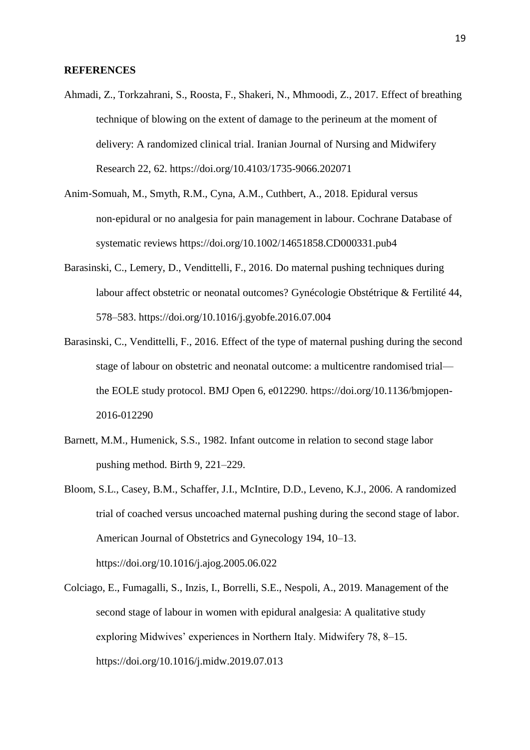#### **REFERENCES**

- Ahmadi, Z., Torkzahrani, S., Roosta, F., Shakeri, N., Mhmoodi, Z., 2017. Effect of breathing technique of blowing on the extent of damage to the perineum at the moment of delivery: A randomized clinical trial. Iranian Journal of Nursing and Midwifery Research 22, 62. https://doi.org/10.4103/1735-9066.202071
- Anim‐Somuah, M., Smyth, R.M., Cyna, A.M., Cuthbert, A., 2018. Epidural versus non‐epidural or no analgesia for pain management in labour. Cochrane Database of systematic reviews https://doi.org/10.1002/14651858.CD000331.pub4
- Barasinski, C., Lemery, D., Vendittelli, F., 2016. Do maternal pushing techniques during labour affect obstetric or neonatal outcomes? Gynécologie Obstétrique & Fertilité 44, 578–583. https://doi.org/10.1016/j.gyobfe.2016.07.004
- Barasinski, C., Vendittelli, F., 2016. Effect of the type of maternal pushing during the second stage of labour on obstetric and neonatal outcome: a multicentre randomised trial the EOLE study protocol. BMJ Open 6, e012290. https://doi.org/10.1136/bmjopen-2016-012290
- Barnett, M.M., Humenick, S.S., 1982. Infant outcome in relation to second stage labor pushing method. Birth 9, 221–229.
- Bloom, S.L., Casey, B.M., Schaffer, J.I., McIntire, D.D., Leveno, K.J., 2006. A randomized trial of coached versus uncoached maternal pushing during the second stage of labor. American Journal of Obstetrics and Gynecology 194, 10–13. https://doi.org/10.1016/j.ajog.2005.06.022
- Colciago, E., Fumagalli, S., Inzis, I., Borrelli, S.E., Nespoli, A., 2019. Management of the second stage of labour in women with epidural analgesia: A qualitative study exploring Midwives' experiences in Northern Italy. Midwifery 78, 8–15. https://doi.org/10.1016/j.midw.2019.07.013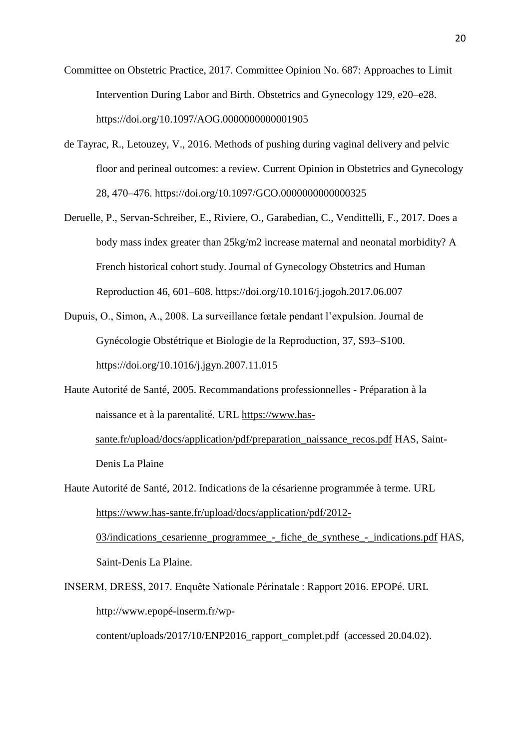- Committee on Obstetric Practice, 2017. Committee Opinion No. 687: Approaches to Limit Intervention During Labor and Birth. Obstetrics and Gynecology 129, e20–e28. https://doi.org/10.1097/AOG.0000000000001905
- de Tayrac, R., Letouzey, V., 2016. Methods of pushing during vaginal delivery and pelvic floor and perineal outcomes: a review. Current Opinion in Obstetrics and Gynecology 28, 470–476. https://doi.org/10.1097/GCO.0000000000000325
- Deruelle, P., Servan-Schreiber, E., Riviere, O., Garabedian, C., Vendittelli, F., 2017. Does a body mass index greater than 25kg/m2 increase maternal and neonatal morbidity? A French historical cohort study. Journal of Gynecology Obstetrics and Human Reproduction 46, 601–608. https://doi.org/10.1016/j.jogoh.2017.06.007
- Dupuis, O., Simon, A., 2008. La surveillance fœtale pendant l'expulsion. Journal de Gynécologie Obstétrique et Biologie de la Reproduction, 37, S93–S100. https://doi.org/10.1016/j.jgyn.2007.11.015
- Haute Autorité de Santé, 2005. Recommandations professionnelles Préparation à la naissance et à la parentalité. URL [https://www.has](https://www.has-sante.fr/upload/docs/application/pdf/preparation_naissance_recos.pdf)[sante.fr/upload/docs/application/pdf/preparation\\_naissance\\_recos.pdf](https://www.has-sante.fr/upload/docs/application/pdf/preparation_naissance_recos.pdf) HAS, Saint-Denis La Plaine
- Haute Autorité de Santé, 2012. Indications de la césarienne programmée à terme. URL [https://www.has-sante.fr/upload/docs/application/pdf/2012-](https://www.has-sante.fr/upload/docs/application/pdf/2012-03/indications_cesarienne_programmee_-_fiche_de_synthese_-_indications.pdf) [03/indications\\_cesarienne\\_programmee\\_-\\_fiche\\_de\\_synthese\\_-\\_indications.pdf](https://www.has-sante.fr/upload/docs/application/pdf/2012-03/indications_cesarienne_programmee_-_fiche_de_synthese_-_indications.pdf) HAS, Saint-Denis La Plaine.
- INSERM, DRESS, 2017. Enquête Nationale Périnatale : Rapport 2016. EPOPé. URL http://www.epopé-inserm.fr/wpcontent/uploads/2017/10/ENP2016\_rapport\_complet.pdf (accessed 20.04.02).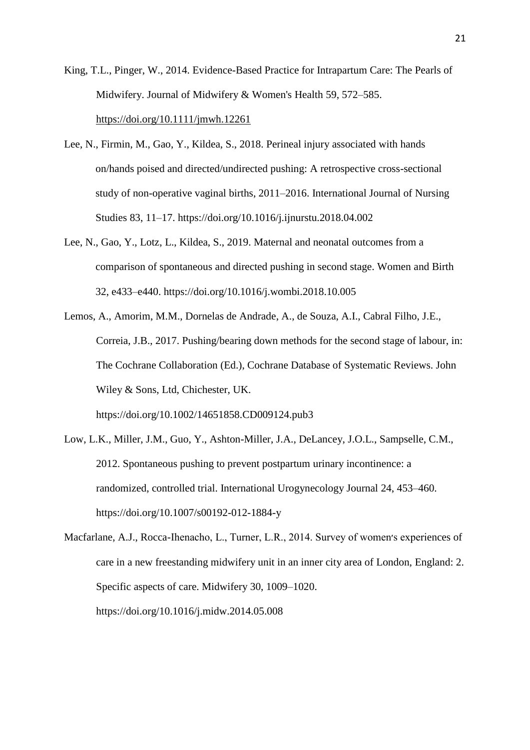King, T.L., Pinger, W., 2014. Evidence-Based Practice for Intrapartum Care: The Pearls of Midwifery. Journal of Midwifery & Women's Health 59, 572–585. <https://doi.org/10.1111/jmwh.12261>

- Lee, N., Firmin, M., Gao, Y., Kildea, S., 2018. Perineal injury associated with hands on/hands poised and directed/undirected pushing: A retrospective cross-sectional study of non-operative vaginal births, 2011–2016. International Journal of Nursing Studies 83, 11–17. https://doi.org/10.1016/j.ijnurstu.2018.04.002
- Lee, N., Gao, Y., Lotz, L., Kildea, S., 2019. Maternal and neonatal outcomes from a comparison of spontaneous and directed pushing in second stage. Women and Birth 32, e433–e440. https://doi.org/10.1016/j.wombi.2018.10.005
- Lemos, A., Amorim, M.M., Dornelas de Andrade, A., de Souza, A.I., Cabral Filho, J.E., Correia, J.B., 2017. Pushing/bearing down methods for the second stage of labour, in: The Cochrane Collaboration (Ed.), Cochrane Database of Systematic Reviews. John Wiley & Sons, Ltd, Chichester, UK. https://doi.org/10.1002/14651858.CD009124.pub3
- Low, L.K., Miller, J.M., Guo, Y., Ashton-Miller, J.A., DeLancey, J.O.L., Sampselle, C.M.,
- 2012. Spontaneous pushing to prevent postpartum urinary incontinence: a randomized, controlled trial. International Urogynecology Journal 24, 453–460. https://doi.org/10.1007/s00192-012-1884-y
- Macfarlane, A.J., Rocca-Ihenacho, L., Turner, L.R., 2014. Survey of women's experiences of care in a new freestanding midwifery unit in an inner city area of London, England: 2. Specific aspects of care. Midwifery 30, 1009–1020. https://doi.org/10.1016/j.midw.2014.05.008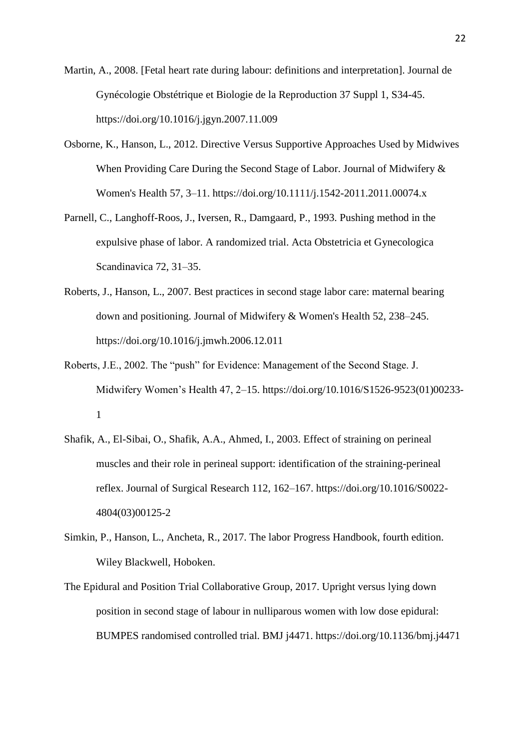Martin, A., 2008. [Fetal heart rate during labour: definitions and interpretation]. Journal de Gynécologie Obstétrique et Biologie de la Reproduction 37 Suppl 1, S34-45. https://doi.org/10.1016/j.jgyn.2007.11.009

- Osborne, K., Hanson, L., 2012. Directive Versus Supportive Approaches Used by Midwives When Providing Care During the Second Stage of Labor. Journal of Midwifery & Women's Health 57, 3–11. https://doi.org/10.1111/j.1542-2011.2011.00074.x
- Parnell, C., Langhoff-Roos, J., Iversen, R., Damgaard, P., 1993. Pushing method in the expulsive phase of labor. A randomized trial. Acta Obstetricia et Gynecologica Scandinavica 72, 31–35.
- Roberts, J., Hanson, L., 2007. Best practices in second stage labor care: maternal bearing down and positioning. Journal of Midwifery & Women's Health 52, 238–245. https://doi.org/10.1016/j.jmwh.2006.12.011
- Roberts, J.E., 2002. The "push" for Evidence: Management of the Second Stage. J. Midwifery Women's Health 47, 2–15. https://doi.org/10.1016/S1526-9523(01)00233- 1
- Shafik, A., El-Sibai, O., Shafik, A.A., Ahmed, I., 2003. Effect of straining on perineal muscles and their role in perineal support: identification of the straining-perineal reflex. Journal of Surgical Research 112, 162–167. https://doi.org/10.1016/S0022- 4804(03)00125-2
- Simkin, P., Hanson, L., Ancheta, R., 2017. The labor Progress Handbook, fourth edition. Wiley Blackwell, Hoboken.
- The Epidural and Position Trial Collaborative Group, 2017. Upright versus lying down position in second stage of labour in nulliparous women with low dose epidural: BUMPES randomised controlled trial. BMJ j4471. https://doi.org/10.1136/bmj.j4471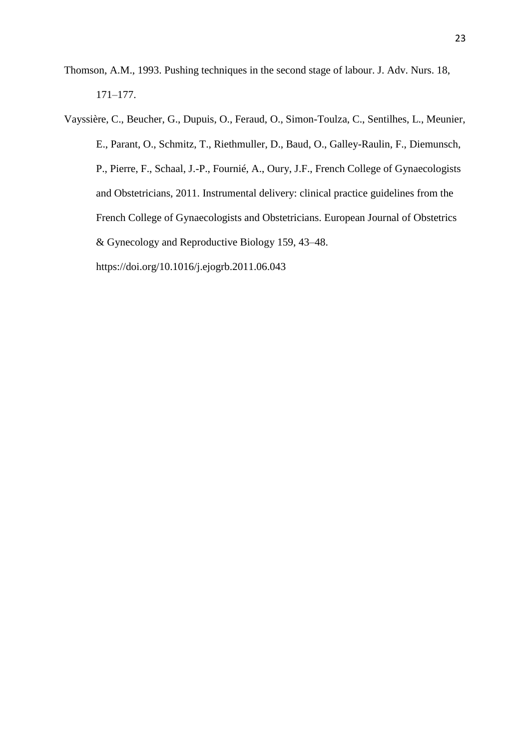Thomson, A.M., 1993. Pushing techniques in the second stage of labour. J. Adv. Nurs. 18, 171–177.

Vayssière, C., Beucher, G., Dupuis, O., Feraud, O., Simon-Toulza, C., Sentilhes, L., Meunier, E., Parant, O., Schmitz, T., Riethmuller, D., Baud, O., Galley-Raulin, F., Diemunsch, P., Pierre, F., Schaal, J.-P., Fournié, A., Oury, J.F., French College of Gynaecologists and Obstetricians, 2011. Instrumental delivery: clinical practice guidelines from the French College of Gynaecologists and Obstetricians. European Journal of Obstetrics & Gynecology and Reproductive Biology 159, 43–48. https://doi.org/10.1016/j.ejogrb.2011.06.043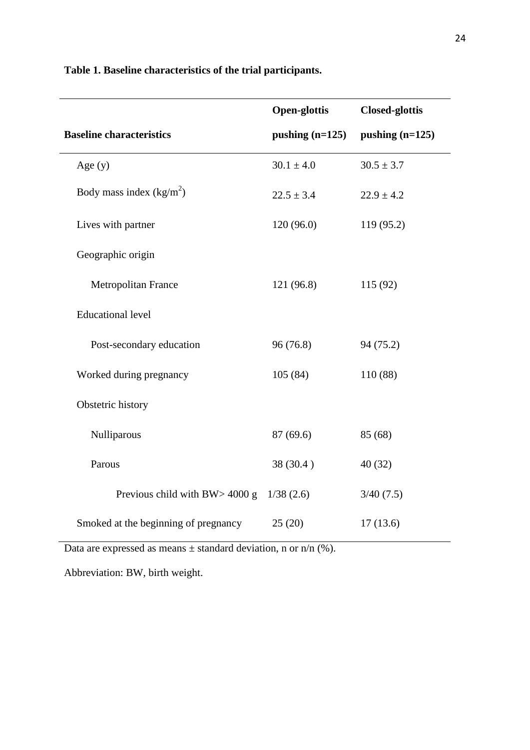|                                      | <b>Open-glottis</b> | <b>Closed-glottis</b> |
|--------------------------------------|---------------------|-----------------------|
| <b>Baseline characteristics</b>      | pushing $(n=125)$   | pushing $(n=125)$     |
| Age $(y)$                            | $30.1 \pm 4.0$      | $30.5 \pm 3.7$        |
| Body mass index $(kg/m2)$            | $22.5 \pm 3.4$      | $22.9 \pm 4.2$        |
| Lives with partner                   | 120(96.0)           | 119 (95.2)            |
| Geographic origin                    |                     |                       |
| Metropolitan France                  | 121(96.8)           | 115 (92)              |
| <b>Educational level</b>             |                     |                       |
| Post-secondary education             | 96(76.8)            | 94 (75.2)             |
| Worked during pregnancy              | 105(84)             | 110 (88)              |
| Obstetric history                    |                     |                       |
| Nulliparous                          | 87 (69.6)           | 85 (68)               |
| Parous                               | 38 (30.4)           | 40(32)                |
| Previous child with BW> 4000 g       | 1/38(2.6)           | 3/40(7.5)             |
| Smoked at the beginning of pregnancy | 25(20)              | 17(13.6)              |

**Table 1. Baseline characteristics of the trial participants.** 

Data are expressed as means  $\pm$  standard deviation, n or n/n (%).

Abbreviation: BW, birth weight.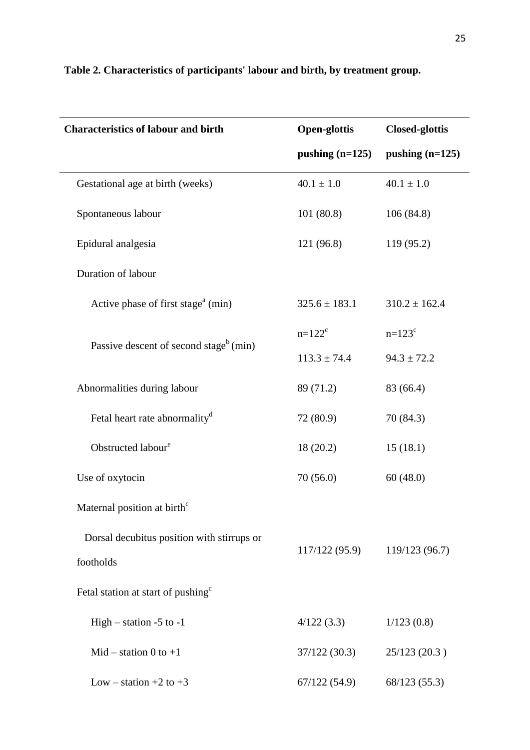| <b>Characteristics of labour and birth</b>         | <b>Open-glottis</b> | <b>Closed-glottis</b> |  |
|----------------------------------------------------|---------------------|-----------------------|--|
|                                                    | pushing $(n=125)$   | pushing $(n=125)$     |  |
| Gestational age at birth (weeks)                   | $40.1 \pm 1.0$      | $40.1 \pm 1.0$        |  |
| Spontaneous labour                                 | 101(80.8)           | 106(84.8)             |  |
| Epidural analgesia                                 | 121 (96.8)          | 119 (95.2)            |  |
| Duration of labour                                 |                     |                       |  |
| Active phase of first stage <sup>a</sup> (min)     | $325.6 \pm 183.1$   | $310.2 \pm 162.4$     |  |
|                                                    | $n = 122^c$         | $n = 123^c$           |  |
| Passive descent of second stage <sup>b</sup> (min) | $113.3 \pm 74.4$    | $94.3 \pm 72.2$       |  |
| Abnormalities during labour                        | 89 (71.2)           | 83 (66.4)             |  |
| Fetal heart rate abnormality <sup>d</sup>          | 72 (80.9)           | 70 (84.3)             |  |
| Obstructed labour <sup>e</sup>                     | 18 (20.2)           | 15(18.1)              |  |
| Use of oxytocin                                    | 70(56.0)            | 60(48.0)              |  |
| Maternal position at birth <sup>c</sup>            |                     |                       |  |
| Dorsal decubitus position with stirrups or         |                     |                       |  |
| footholds                                          | 117/122(95.9)       | 119/123 (96.7)        |  |
| Fetal station at start of pushing <sup>c</sup>     |                     |                       |  |
| High $-$ station $-5$ to $-1$                      | 4/122(3.3)          | 1/123(0.8)            |  |
| Mid – station 0 to $+1$                            | 37/122(30.3)        | 25/123(20.3)          |  |
| Low – station +2 to +3                             | 67/122(54.9)        | 68/123 (55.3)         |  |

## **Table 2. Characteristics of participants' labour and birth, by treatment group.**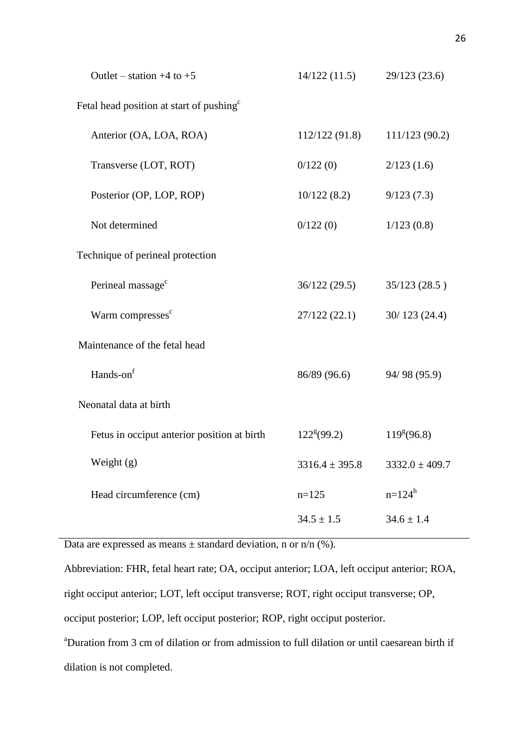| Outlet – station $+4$ to $+5$                        | 14/122(11.5)        | 29/123(23.6)            |
|------------------------------------------------------|---------------------|-------------------------|
| Fetal head position at start of pushing <sup>c</sup> |                     |                         |
| Anterior (OA, LOA, ROA)                              | 112/122 (91.8)      | 111/123(90.2)           |
| Transverse (LOT, ROT)                                | 0/122(0)            | 2/123(1.6)              |
| Posterior (OP, LOP, ROP)                             | 10/122(8.2)         | 9/123(7.3)              |
| Not determined                                       | 0/122(0)            | 1/123(0.8)              |
| Technique of perineal protection                     |                     |                         |
| Perineal massage <sup>c</sup>                        | 36/122 (29.5)       | 35/123(28.5)            |
| Warm compresses <sup>c</sup>                         | 27/122 (22.1)       | 30/123(24.4)            |
| Maintenance of the fetal head                        |                     |                         |
| Hands-on <sup>f</sup>                                | 86/89 (96.6)        | 94/98 (95.9)            |
| Neonatal data at birth                               |                     |                         |
| Fetus in occiput anterior position at birth          | $122^{\rm g}(99.2)$ | 119 <sup>g</sup> (96.8) |
| Weight (g)                                           | $3316.4 \pm 395.8$  | $3332.0 \pm 409.7$      |
| Head circumference (cm)                              | $n=125$             | $n=124^h$               |
|                                                      | $34.5 \pm 1.5$      | $34.6 \pm 1.4$          |

Data are expressed as means  $\pm$  standard deviation, n or n/n (%).

Abbreviation: FHR, fetal heart rate; OA, occiput anterior; LOA, left occiput anterior; ROA, right occiput anterior; LOT, left occiput transverse; ROT, right occiput transverse; OP, occiput posterior; LOP, left occiput posterior; ROP, right occiput posterior.

<sup>a</sup>Duration from 3 cm of dilation or from admission to full dilation or until caesarean birth if dilation is not completed.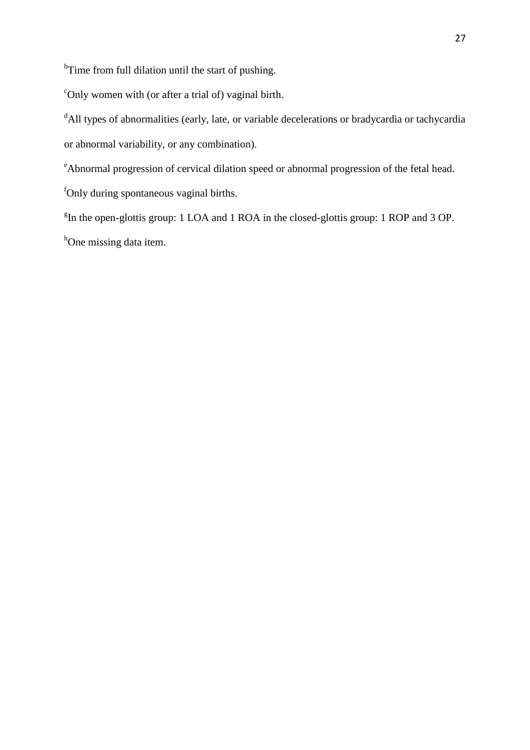<sup>b</sup>Time from full dilation until the start of pushing.

 $\epsilon$ Only women with (or after a trial of) vaginal birth.

<sup>d</sup>All types of abnormalities (early, late, or variable decelerations or bradycardia or tachycardia or abnormal variability, or any combination).

<sup>e</sup>Abnormal progression of cervical dilation speed or abnormal progression of the fetal head.

<sup>f</sup>Only during spontaneous vaginal births.

<sup>g</sup>In the open-glottis group: 1 LOA and 1 ROA in the closed-glottis group: 1 ROP and 3 OP. <sup>h</sup>One missing data item.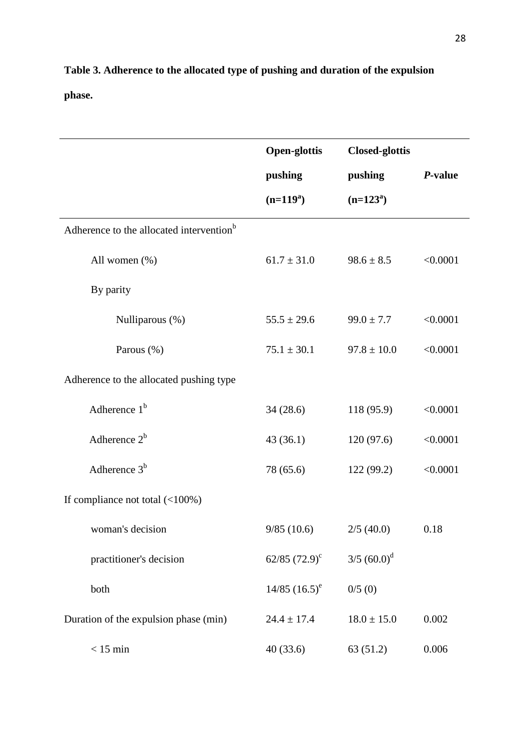**Table 3. Adherence to the allocated type of pushing and duration of the expulsion phase.** 

|                                                      | <b>Open-glottis</b> | <b>Closed-glottis</b>     |          |
|------------------------------------------------------|---------------------|---------------------------|----------|
|                                                      | pushing             | pushing                   | P-value  |
|                                                      | $(n=119^a)$         | $(n=123^a)$               |          |
| Adherence to the allocated intervention <sup>b</sup> |                     |                           |          |
| All women (%)                                        | $61.7 \pm 31.0$     | $98.6 \pm 8.5$            | < 0.0001 |
| By parity                                            |                     |                           |          |
| Nulliparous (%)                                      | $55.5 \pm 29.6$     | $99.0 \pm 7.7$            | < 0.0001 |
| Parous (%)                                           | $75.1 \pm 30.1$     | $97.8 \pm 10.0$           | < 0.0001 |
| Adherence to the allocated pushing type              |                     |                           |          |
| Adherence $1b$                                       | 34(28.6)            | 118 (95.9)                | < 0.0001 |
| Adherence $2^b$                                      | 43(36.1)            | 120(97.6)                 | < 0.0001 |
| Adherence $3b$                                       | 78 (65.6)           | 122 (99.2)                | < 0.0001 |
| If compliance not total $(\langle 100\% \rangle)$    |                     |                           |          |
| woman's decision                                     | 9/85(10.6)          | 2/5(40.0)                 | 0.18     |
| practitioner's decision                              | 62/85 $(72.9)^c$    | $3/5$ (60.0) <sup>d</sup> |          |
| both                                                 | $14/85$ $(16.5)^e$  | 0/5(0)                    |          |
| Duration of the expulsion phase (min)                | $24.4 \pm 17.4$     | $18.0 \pm 15.0$           | 0.002    |
| $< 15$ min                                           | 40(33.6)            | 63(51.2)                  | 0.006    |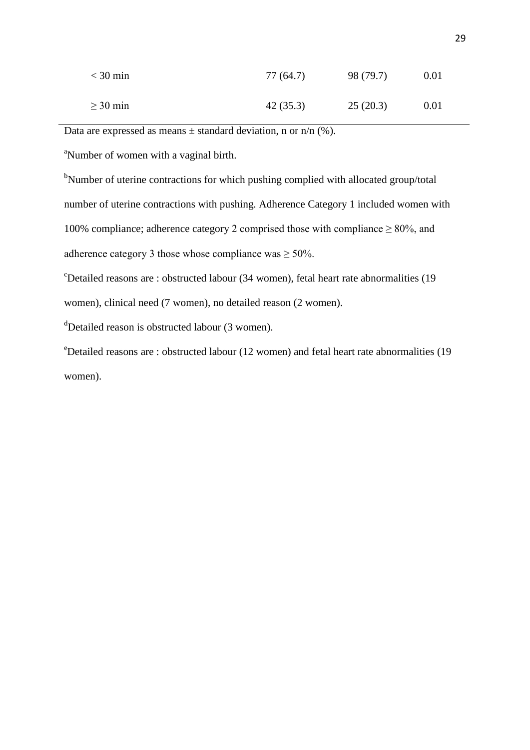| $<$ 30 min    | 77 (64.7) | 98 (79.7) | 0.01 |
|---------------|-----------|-----------|------|
| $\geq$ 30 min | 42(35.3)  | 25(20.3)  | 0.01 |

Data are expressed as means  $\pm$  standard deviation, n or n/n (%).

<sup>a</sup>Number of women with a vaginal birth.

<sup>b</sup>Number of uterine contractions for which pushing complied with allocated group/total number of uterine contractions with pushing. Adherence Category 1 included women with 100% compliance; adherence category 2 comprised those with compliance  $\geq 80\%$ , and adherence category 3 those whose compliance was  $\geq 50\%$ .

 $c$ Detailed reasons are : obstructed labour (34 women), fetal heart rate abnormalities (19 women), clinical need (7 women), no detailed reason (2 women).

 $d$ Detailed reason is obstructed labour (3 women).

<sup>e</sup>Detailed reasons are : obstructed labour (12 women) and fetal heart rate abnormalities (19 women).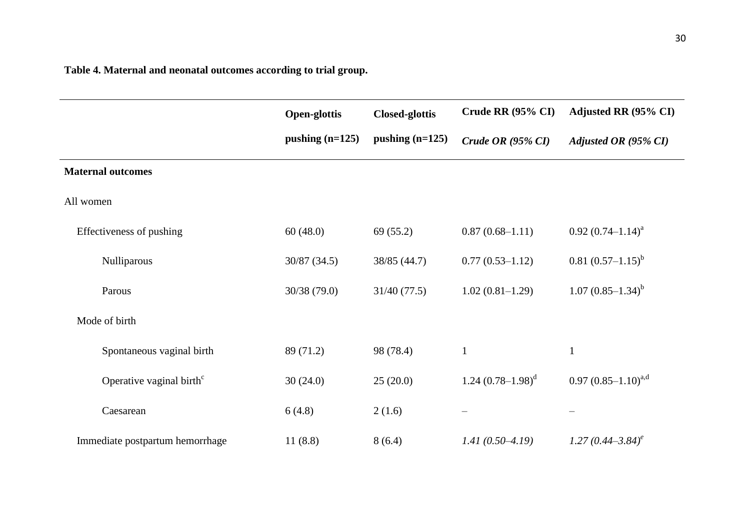**Table 4. Maternal and neonatal outcomes according to trial group.** 

|                                      | <b>Open-glottis</b> | <b>Closed-glottis</b> | Crude RR $(95\% \text{ CI})$ | Adjusted RR (95% CI)       |
|--------------------------------------|---------------------|-----------------------|------------------------------|----------------------------|
|                                      | pushing $(n=125)$   | pushing $(n=125)$     | Crude OR $(95\% \text{ CI})$ | Adjusted OR (95% CI)       |
| <b>Maternal outcomes</b>             |                     |                       |                              |                            |
| All women                            |                     |                       |                              |                            |
| Effectiveness of pushing             | 60(48.0)            | 69(55.2)              | $0.87(0.68-1.11)$            | $0.92 (0.74 - 1.14)^a$     |
| Nulliparous                          | 30/87(34.5)         | 38/85 (44.7)          | $0.77(0.53 - 1.12)$          | $0.81 (0.57 - 1.15)^{b}$   |
| Parous                               | 30/38(79.0)         | 31/40(77.5)           | $1.02(0.81-1.29)$            | $1.07(0.85-1.34)^{b}$      |
| Mode of birth                        |                     |                       |                              |                            |
| Spontaneous vaginal birth            | 89 (71.2)           | 98 (78.4)             | $\mathbf{1}$                 | $\mathbf{1}$               |
| Operative vaginal birth <sup>c</sup> | 30(24.0)            | 25(20.0)              | 1.24 $(0.78-1.98)^d$         | $0.97 (0.85 - 1.10)^{a,d}$ |
| Caesarean                            | 6(4.8)              | 2(1.6)                |                              |                            |
| Immediate postpartum hemorrhage      | 11(8.8)             | 8(6.4)                | $1.41(0.50-4.19)$            | $1.27(0.44 - 3.84)^e$      |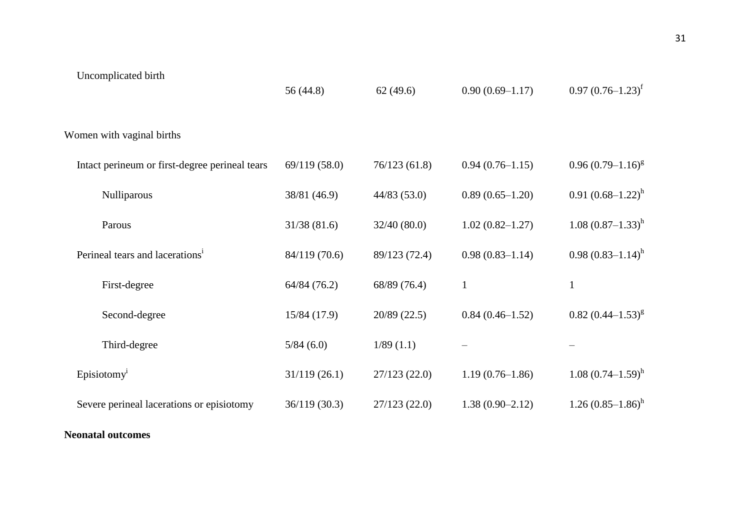| Uncomplicated birth                            | 56 (44.8)     | 62(49.6)      | $0.90(0.69 - 1.17)$ | $0.97 (0.76 - 1.23)^t$   |  |  |
|------------------------------------------------|---------------|---------------|---------------------|--------------------------|--|--|
| Women with vaginal births                      |               |               |                     |                          |  |  |
| Intact perineum or first-degree perineal tears | 69/119 (58.0) | 76/123(61.8)  | $0.94(0.76-1.15)$   | $0.96(0.79-1.16)^{g}$    |  |  |
| Nulliparous                                    | 38/81 (46.9)  | 44/83(53.0)   | $0.89(0.65-1.20)$   | $0.91 (0.68 - 1.22)^h$   |  |  |
| Parous                                         | 31/38(81.6)   | 32/40(80.0)   | $1.02(0.82 - 1.27)$ | $1.08$ $(0.87-1.33)^h$   |  |  |
| Perineal tears and lacerations <sup>1</sup>    | 84/119 (70.6) | 89/123 (72.4) | $0.98(0.83 - 1.14)$ | $0.98(0.83-1.14)^h$      |  |  |
| First-degree                                   | 64/84 (76.2)  | 68/89 (76.4)  | $\mathbf{1}$        | $\mathbf{1}$             |  |  |
| Second-degree                                  | 15/84 (17.9)  | 20/89 (22.5)  | $0.84(0.46 - 1.52)$ | $0.82~(0.44 - 1.53)^{g}$ |  |  |
| Third-degree                                   | 5/84(6.0)     | 1/89(1.1)     |                     |                          |  |  |
| Episiotomy <sup>1</sup>                        | 31/119(26.1)  | 27/123(22.0)  | $1.19(0.76 - 1.86)$ | $1.08 (0.74 - 1.59)^h$   |  |  |
| Severe perineal lacerations or episiotomy      | 36/119 (30.3) | 27/123(22.0)  | $1.38(0.90 - 2.12)$ | $1.26(0.85-1.86)^h$      |  |  |
|                                                |               |               |                     |                          |  |  |

### **Neonatal outcomes**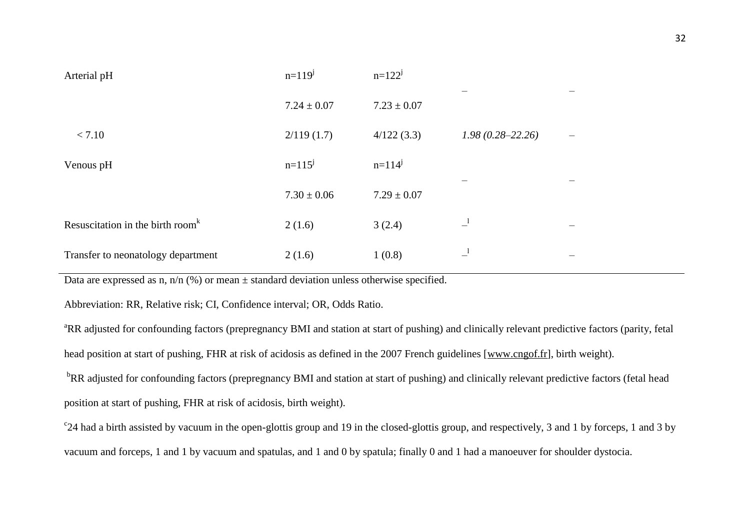| Arterial pH                                               | $n=119^{j}$     | $n=122^{j}$     |                      |  |
|-----------------------------------------------------------|-----------------|-----------------|----------------------|--|
|                                                           | $7.24 \pm 0.07$ | $7.23 \pm 0.07$ |                      |  |
| < 7.10                                                    | 2/119(1.7)      | 4/122(3.3)      | $1.98(0.28 - 22.26)$ |  |
| Venous pH                                                 | $n=115^{j}$     | $n=114^{j}$     |                      |  |
|                                                           | $7.30 \pm 0.06$ | $7.29 \pm 0.07$ |                      |  |
| Resuscitation in the birth room <sup><math>k</math></sup> | 2(1.6)          | 3(2.4)          | $\mathbf{I}$         |  |
| Transfer to neonatology department                        | 2(1.6)          | 1(0.8)          | $\mathbf{I}$         |  |

Data are expressed as n,  $n/n$  (%) or mean  $\pm$  standard deviation unless otherwise specified.

Abbreviation: RR, Relative risk; CI, Confidence interval; OR, Odds Ratio.

<sup>a</sup>RR adjusted for confounding factors (prepregnancy BMI and station at start of pushing) and clinically relevant predictive factors (parity, fetal head position at start of pushing, FHR at risk of acidosis as defined in the 2007 French guidelines [\[www.cngof.fr\]](http://www.cngof.fr/), birth weight).

<sup>b</sup>RR adjusted for confounding factors (prepregnancy BMI and station at start of pushing) and clinically relevant predictive factors (fetal head position at start of pushing, FHR at risk of acidosis, birth weight).

<sup>c</sup>24 had a birth assisted by vacuum in the open-glottis group and 19 in the closed-glottis group, and respectively, 3 and 1 by forceps, 1 and 3 by vacuum and forceps, 1 and 1 by vacuum and spatulas, and 1 and 0 by spatula; finally 0 and 1 had a manoeuver for shoulder dystocia.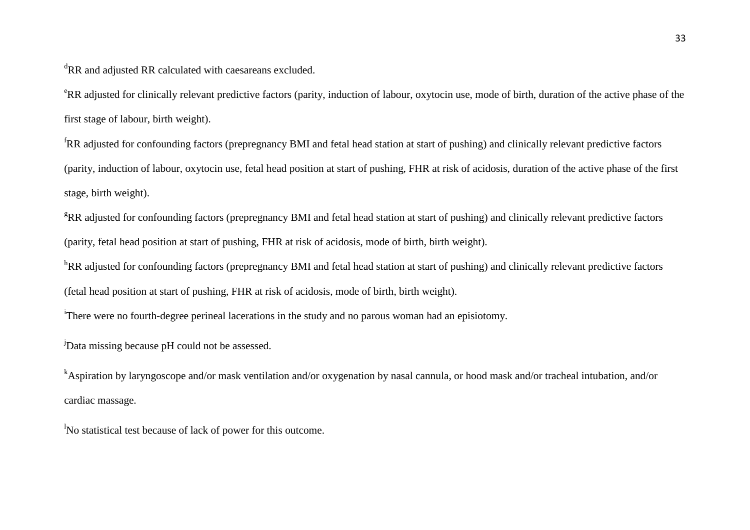<sup>d</sup>RR and adjusted RR calculated with caesareans excluded.

<sup>e</sup>RR adjusted for clinically relevant predictive factors (parity, induction of labour, oxytocin use, mode of birth, duration of the active phase of the first stage of labour, birth weight).

<sup>f</sup>RR adjusted for confounding factors (prepregnancy BMI and fetal head station at start of pushing) and clinically relevant predictive factors (parity, induction of labour, oxytocin use, fetal head position at start of pushing, FHR at risk of acidosis, duration of the active phase of the first stage, birth weight).

 $R$ RR adjusted for confounding factors (prepregnancy BMI and fetal head station at start of pushing) and clinically relevant predictive factors (parity, fetal head position at start of pushing, FHR at risk of acidosis, mode of birth, birth weight).

<sup>h</sup>RR adjusted for confounding factors (prepregnancy BMI and fetal head station at start of pushing) and clinically relevant predictive factors (fetal head position at start of pushing, FHR at risk of acidosis, mode of birth, birth weight).

<sup>i</sup>There were no fourth-degree perineal lacerations in the study and no parous woman had an episiotomy.

<sup>j</sup>Data missing because pH could not be assessed.

<sup>k</sup>Aspiration by laryngoscope and/or mask ventilation and/or oxygenation by nasal cannula, or hood mask and/or tracheal intubation, and/or cardiac massage.

<sup>1</sup>No statistical test because of lack of power for this outcome.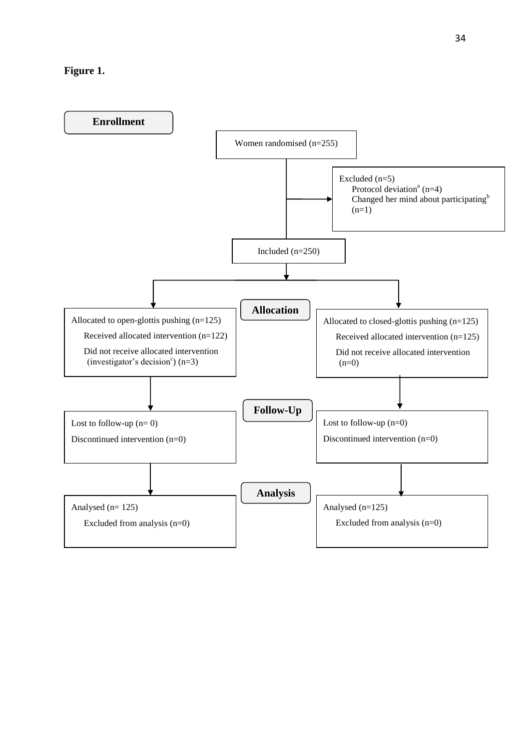#### **Figure 1.**